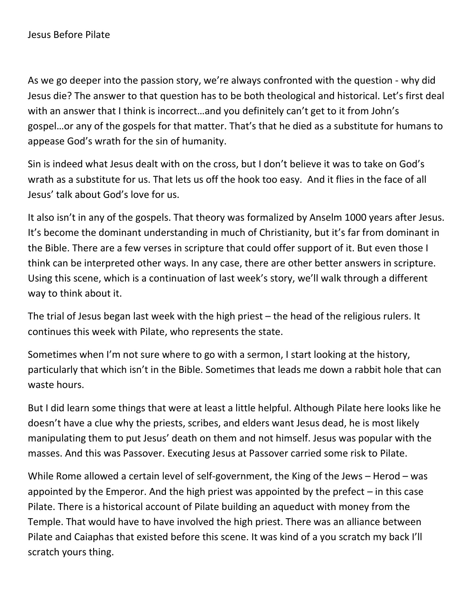As we go deeper into the passion story, we're always confronted with the question - why did Jesus die? The answer to that question has to be both theological and historical. Let's first deal with an answer that I think is incorrect…and you definitely can't get to it from John's gospel…or any of the gospels for that matter. That's that he died as a substitute for humans to appease God's wrath for the sin of humanity.

Sin is indeed what Jesus dealt with on the cross, but I don't believe it was to take on God's wrath as a substitute for us. That lets us off the hook too easy. And it flies in the face of all Jesus' talk about God's love for us.

It also isn't in any of the gospels. That theory was formalized by Anselm 1000 years after Jesus. It's become the dominant understanding in much of Christianity, but it's far from dominant in the Bible. There are a few verses in scripture that could offer support of it. But even those I think can be interpreted other ways. In any case, there are other better answers in scripture. Using this scene, which is a continuation of last week's story, we'll walk through a different way to think about it.

The trial of Jesus began last week with the high priest – the head of the religious rulers. It continues this week with Pilate, who represents the state.

Sometimes when I'm not sure where to go with a sermon, I start looking at the history, particularly that which isn't in the Bible. Sometimes that leads me down a rabbit hole that can waste hours.

But I did learn some things that were at least a little helpful. Although Pilate here looks like he doesn't have a clue why the priests, scribes, and elders want Jesus dead, he is most likely manipulating them to put Jesus' death on them and not himself. Jesus was popular with the masses. And this was Passover. Executing Jesus at Passover carried some risk to Pilate.

While Rome allowed a certain level of self-government, the King of the Jews – Herod – was appointed by the Emperor. And the high priest was appointed by the prefect – in this case Pilate. There is a historical account of Pilate building an aqueduct with money from the Temple. That would have to have involved the high priest. There was an alliance between Pilate and Caiaphas that existed before this scene. It was kind of a you scratch my back I'll scratch yours thing.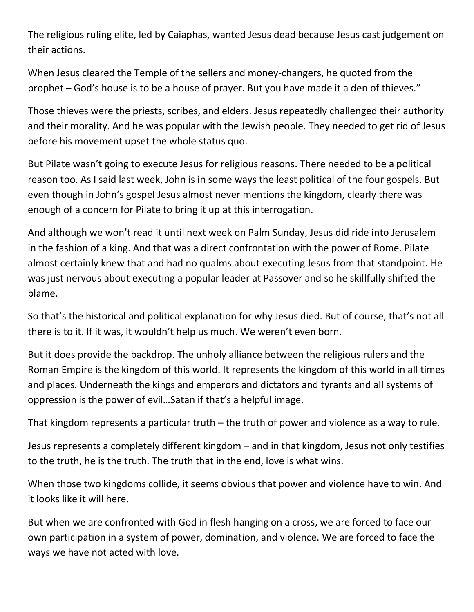The religious ruling elite, led by Caiaphas, wanted Jesus dead because Jesus cast judgement on their actions.

When Jesus cleared the Temple of the sellers and money-changers, he quoted from the prophet – God's house is to be a house of prayer. But you have made it a den of thieves."

Those thieves were the priests, scribes, and elders. Jesus repeatedly challenged their authority and their morality. And he was popular with the Jewish people. They needed to get rid of Jesus before his movement upset the whole status quo.

But Pilate wasn't going to execute Jesus for religious reasons. There needed to be a political reason too. As I said last week, John is in some ways the least political of the four gospels. But even though in John's gospel Jesus almost never mentions the kingdom, clearly there was enough of a concern for Pilate to bring it up at this interrogation.

And although we won't read it until next week on Palm Sunday, Jesus did ride into Jerusalem in the fashion of a king. And that was a direct confrontation with the power of Rome. Pilate almost certainly knew that and had no qualms about executing Jesus from that standpoint. He was just nervous about executing a popular leader at Passover and so he skillfully shifted the blame.

So that's the historical and political explanation for why Jesus died. But of course, that's not all there is to it. If it was, it wouldn't help us much. We weren't even born.

But it does provide the backdrop. The unholy alliance between the religious rulers and the Roman Empire is the kingdom of this world. It represents the kingdom of this world in all times and places. Underneath the kings and emperors and dictators and tyrants and all systems of oppression is the power of evil…Satan if that's a helpful image.

That kingdom represents a particular truth – the truth of power and violence as a way to rule.

Jesus represents a completely different kingdom – and in that kingdom, Jesus not only testifies to the truth, he is the truth. The truth that in the end, love is what wins.

When those two kingdoms collide, it seems obvious that power and violence have to win. And it looks like it will here.

But when we are confronted with God in flesh hanging on a cross, we are forced to face our own participation in a system of power, domination, and violence. We are forced to face the ways we have not acted with love.